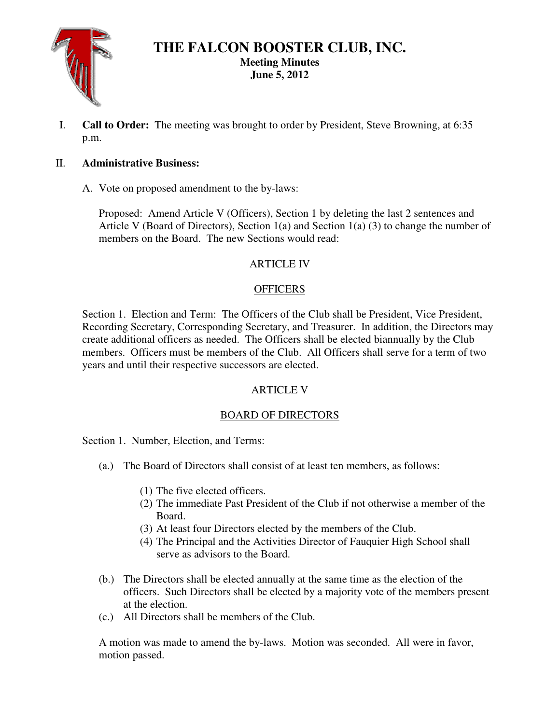

# **THE FALCON BOOSTER CLUB, INC. Meeting Minutes June 5, 2012**

I. **Call to Order:** The meeting was brought to order by President, Steve Browning, at 6:35 p.m.

### II. **Administrative Business:**

A. Vote on proposed amendment to the by-laws:

Proposed: Amend Article V (Officers), Section 1 by deleting the last 2 sentences and Article V (Board of Directors), Section 1(a) and Section 1(a) (3) to change the number of members on the Board. The new Sections would read:

# **ARTICLE IV**

# **OFFICERS**

Section 1. Election and Term: The Officers of the Club shall be President, Vice President, Recording Secretary, Corresponding Secretary, and Treasurer. In addition, the Directors may create additional officers as needed. The Officers shall be elected biannually by the Club members. Officers must be members of the Club. All Officers shall serve for a term of two years and until their respective successors are elected.

# ARTICLE V

# BOARD OF DIRECTORS

Section 1. Number, Election, and Terms:

- (a.) The Board of Directors shall consist of at least ten members, as follows:
	- (1) The five elected officers.
	- (2) The immediate Past President of the Club if not otherwise a member of the Board.
	- (3) At least four Directors elected by the members of the Club.
	- (4) The Principal and the Activities Director of Fauquier High School shall serve as advisors to the Board.
- (b.) The Directors shall be elected annually at the same time as the election of the officers. Such Directors shall be elected by a majority vote of the members present at the election.
- (c.) All Directors shall be members of the Club.

A motion was made to amend the by-laws. Motion was seconded. All were in favor, motion passed.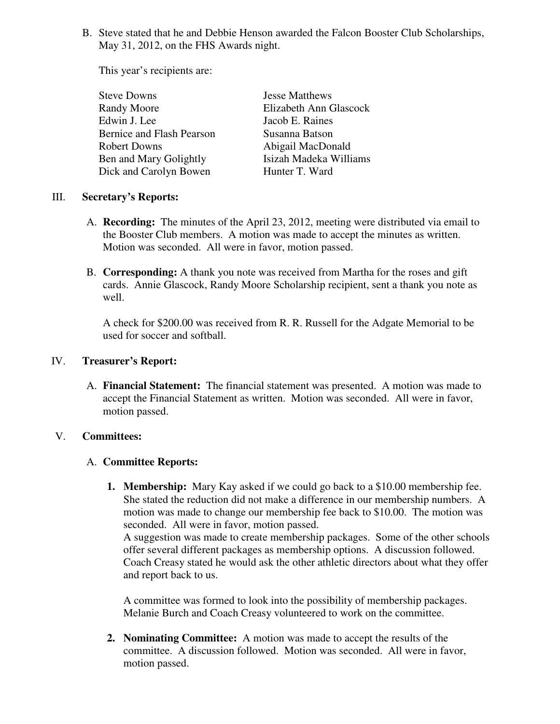B. Steve stated that he and Debbie Henson awarded the Falcon Booster Club Scholarships, May 31, 2012, on the FHS Awards night.

This year's recipients are:

| <b>Steve Downs</b>        | <b>Jesse Matthews</b>  |
|---------------------------|------------------------|
| Randy Moore               | Elizabeth Ann Glascock |
| Edwin J. Lee              | Jacob E. Raines        |
| Bernice and Flash Pearson | Susanna Batson         |
| <b>Robert Downs</b>       | Abigail MacDonald      |
| Ben and Mary Golightly    | Isizah Madeka Williams |
| Dick and Carolyn Bowen    | Hunter T. Ward         |

#### III. **Secretary's Reports:**

- A. **Recording:** The minutes of the April 23, 2012, meeting were distributed via email to the Booster Club members. A motion was made to accept the minutes as written. Motion was seconded. All were in favor, motion passed.
- B. **Corresponding:** A thank you note was received from Martha for the roses and gift cards. Annie Glascock, Randy Moore Scholarship recipient, sent a thank you note as well.

A check for \$200.00 was received from R. R. Russell for the Adgate Memorial to be used for soccer and softball.

#### IV. **Treasurer's Report:**

A. **Financial Statement:** The financial statement was presented. A motion was made to accept the Financial Statement as written. Motion was seconded. All were in favor, motion passed.

#### V. **Committees:**

#### A. **Committee Reports:**

**1. Membership:** Mary Kay asked if we could go back to a \$10.00 membership fee. She stated the reduction did not make a difference in our membership numbers. A motion was made to change our membership fee back to \$10.00. The motion was seconded. All were in favor, motion passed.

A suggestion was made to create membership packages. Some of the other schools offer several different packages as membership options. A discussion followed. Coach Creasy stated he would ask the other athletic directors about what they offer and report back to us.

A committee was formed to look into the possibility of membership packages. Melanie Burch and Coach Creasy volunteered to work on the committee.

**2. Nominating Committee:** A motion was made to accept the results of the committee. A discussion followed. Motion was seconded. All were in favor, motion passed.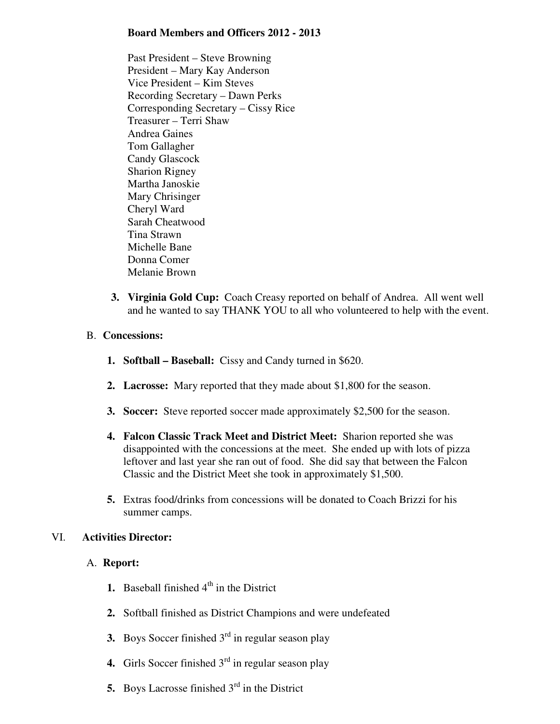#### **Board Members and Officers 2012 - 2013**

Past President – Steve Browning President – Mary Kay Anderson Vice President – Kim Steves Recording Secretary – Dawn Perks Corresponding Secretary – Cissy Rice Treasurer – Terri Shaw Andrea Gaines Tom Gallagher Candy Glascock Sharion Rigney Martha Janoskie Mary Chrisinger Cheryl Ward Sarah Cheatwood Tina Strawn Michelle Bane Donna Comer Melanie Brown

**3. Virginia Gold Cup:** Coach Creasy reported on behalf of Andrea. All went well and he wanted to say THANK YOU to all who volunteered to help with the event.

#### B. **Concessions:**

- **1. Softball Baseball:** Cissy and Candy turned in \$620.
- **2. Lacrosse:** Mary reported that they made about \$1,800 for the season.
- **3. Soccer:** Steve reported soccer made approximately \$2,500 for the season.
- **4. Falcon Classic Track Meet and District Meet:** Sharion reported she was disappointed with the concessions at the meet. She ended up with lots of pizza leftover and last year she ran out of food. She did say that between the Falcon Classic and the District Meet she took in approximately \$1,500.
- **5.** Extras food/drinks from concessions will be donated to Coach Brizzi for his summer camps.

### VI. **Activities Director:**

#### A. **Report:**

- **1.** Baseball finished  $4<sup>th</sup>$  in the District
- **2.** Softball finished as District Champions and were undefeated
- **3.** Boys Soccer finished  $3<sup>rd</sup>$  in regular season play
- **4.** Girls Soccer finished 3<sup>rd</sup> in regular season play
- **5.** Boys Lacrosse finished 3<sup>rd</sup> in the District